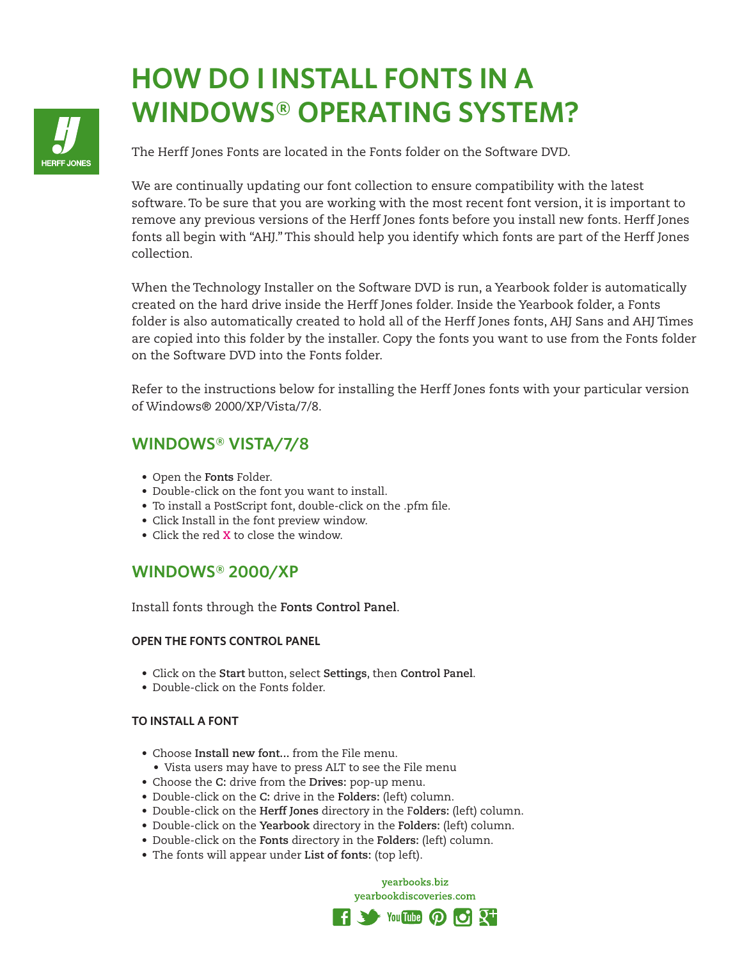# **HOW DO I INSTALL FONTS IN A WINDOWS® OPERATING SYSTEM?**

The Herff Jones Fonts are located in the Fonts folder on the Software DVD.

We are continually updating our font collection to ensure compatibility with the latest software. To be sure that you are working with the most recent font version, it is important to remove any previous versions of the Herff Jones fonts before you install new fonts. Herff Jones fonts all begin with "AHJ." This should help you identify which fonts are part of the Herff Jones collection.

When the Technology Installer on the Software DVD is run, a Yearbook folder is automatically created on the hard drive inside the Herff Jones folder. Inside the Yearbook folder, a Fonts folder is also automatically created to hold all of the Herff Jones fonts, AHJ Sans and AHJ Times are copied into this folder by the installer. Copy the fonts you want to use from the Fonts folder on the Software DVD into the Fonts folder.

Refer to the instructions below for installing the Herff Jones fonts with your particular version of Windows® 2000/XP/Vista/7/8.

# **WINDOWS® VISTA/7/8**

- Open the **Fonts** Folder.
- Double-click on the font you want to install.
- To install a PostScript font, double-click on the .pfm file.
- Click Install in the font preview window.
- Click the red **X** to close the window.

## **WINDOWS® 2000/XP**

Install fonts through the **Fonts Control Panel**.

## **OPEN THE FONTS CONTROL PANEL**

- Click on the **Start** button, select **Settings**, then **Control Panel**.
- Double-click on the Fonts folder.

## **TO INSTALL A FONT**

- Choose **Install new font...** from the File menu.
- Vista users may have to press ALT to see the File menu
- Choose the **C:** drive from the **Drives:** pop-up menu.
- Double-click on the **C:** drive in the **Folders:** (left) column.
- Double-click on the **Herff Jones** directory in the F**olders:** (left) column.
- Double-click on the **Yearbook** directory in the **Folders:** (left) column.
- Double-click on the **Fonts** directory in the **Folders:** (left) column.
- The fonts will appear under **List of fonts:** (top left).